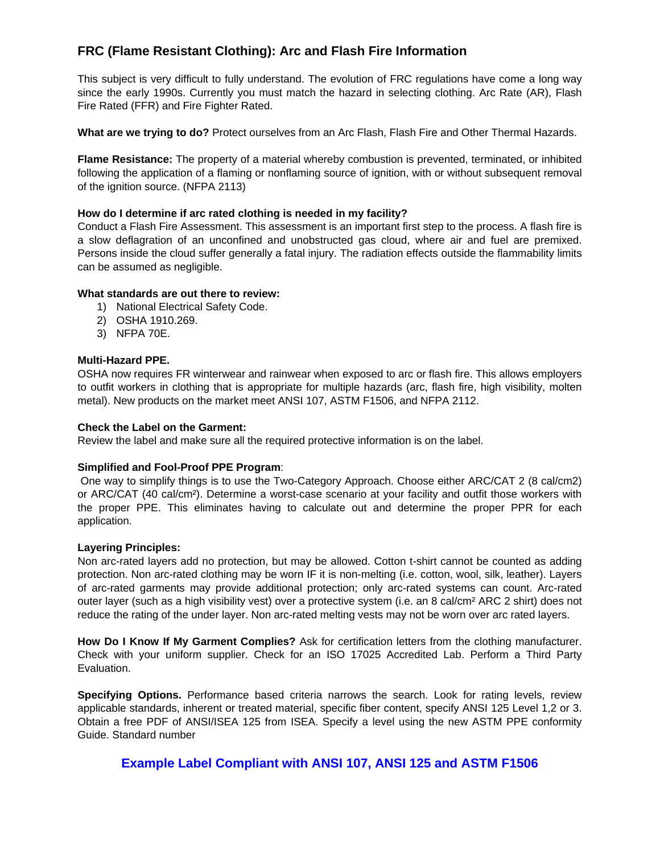# **FRC (Flame Resistant Clothing): Arc and Flash Fire Information**

This subject is very difficult to fully understand. The evolution of FRC regulations have come a long way since the early 1990s. Currently you must match the hazard in selecting clothing. Arc Rate (AR), Flash Fire Rated (FFR) and Fire Fighter Rated.

**What are we trying to do?** Protect ourselves from an Arc Flash, Flash Fire and Other Thermal Hazards.

**Flame Resistance:** The property of a material whereby combustion is prevented, terminated, or inhibited following the application of a flaming or nonflaming source of ignition, with or without subsequent removal of the ignition source. (NFPA 2113)

# **How do I determine if arc rated clothing is needed in my facility?**

Conduct a Flash Fire Assessment. This assessment is an important first step to the process. A flash fire is a slow deflagration of an unconfined and unobstructed gas cloud, where air and fuel are premixed. Persons inside the cloud suffer generally a fatal injury. The radiation effects outside the flammability limits can be assumed as negligible.

# **What standards are out there to review:**

- 1) National Electrical Safety Code.
- 2) OSHA 1910.269.
- 3) NFPA 70E.

# **Multi-Hazard PPE.**

OSHA now requires FR winterwear and rainwear when exposed to arc or flash fire. This allows employers to outfit workers in clothing that is appropriate for multiple hazards (arc, flash fire, high visibility, molten metal). New products on the market meet ANSI 107, ASTM F1506, and NFPA 2112.

#### **Check the Label on the Garment:**

Review the label and make sure all the required protective information is on the label.

#### **Simplified and Fool-Proof PPE Program**:

 One way to simplify things is to use the Two-Category Approach. Choose either ARC/CAT 2 (8 cal/cm2) or ARC/CAT (40 cal/cm²). Determine a worst-case scenario at your facility and outfit those workers with the proper PPE. This eliminates having to calculate out and determine the proper PPR for each application.

#### **Layering Principles:**

Non arc-rated layers add no protection, but may be allowed. Cotton t-shirt cannot be counted as adding protection. Non arc-rated clothing may be worn IF it is non-melting (i.e. cotton, wool, silk, leather). Layers of arc-rated garments may provide additional protection; only arc-rated systems can count. Arc-rated outer layer (such as a high visibility vest) over a protective system (i.e. an 8 cal/cm² ARC 2 shirt) does not reduce the rating of the under layer. Non arc-rated melting vests may not be worn over arc rated layers.

**How Do I Know If My Garment Complies?** Ask for certification letters from the clothing manufacturer. Check with your uniform supplier. Check for an ISO 17025 Accredited Lab. Perform a Third Party Evaluation.

**Specifying Options.** Performance based criteria narrows the search. Look for rating levels, review applicable standards, inherent or treated material, specific fiber content, specify ANSI 125 Level 1,2 or 3. Obtain a free PDF of ANSI/ISEA 125 from ISEA. Specify a level using the new ASTM PPE conformity Guide. Standard number

# **Example Label Compliant with ANSI 107, ANSI 125 and ASTM F1506**